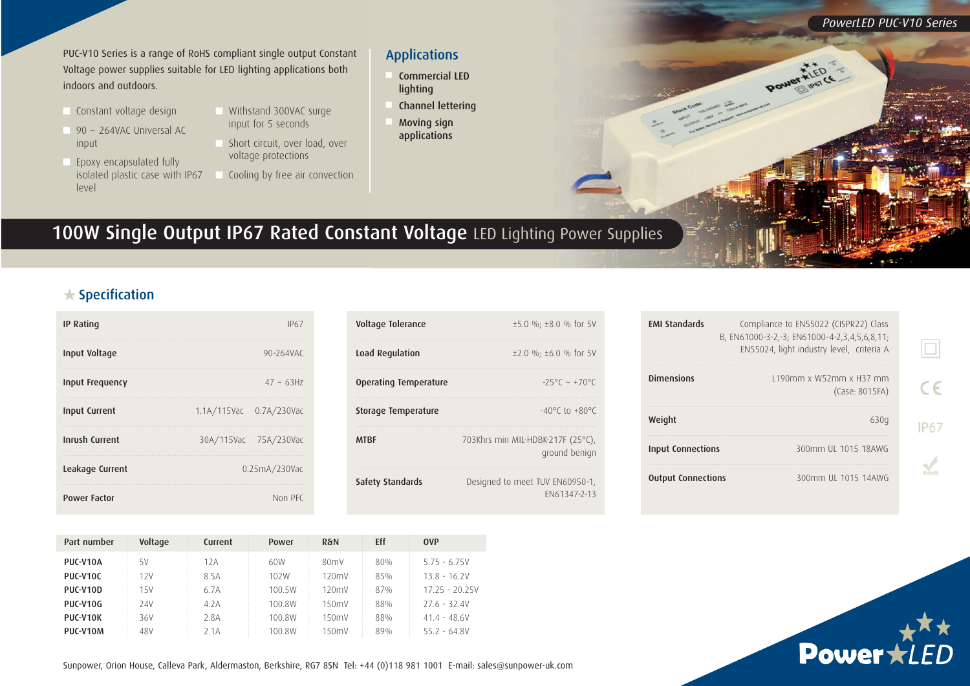PUC-V10 Series is a range of RoHS compliant single output Constant Voltage power supplies suitable for LED lighting applications both indoors and outdoors.

- Constant voltage design
- 90  $\sim$  264VAC Universal AC input
- Epoxy encapsulated fully isolated plastic case with IP67 level
- Withstand 300VAC surge input for 5 seconds
- **n** Short circuit, over load, over voltage protections
- Cooling by free air convection

## Applications

- Commercial LED lighting
- Channel lettering
- **Moving sign** applications

## 100W Single Output IP67 Rated Constant Voltage LED Lighting Power Supplies

## $\bigstar$  Specification

| <b>IP Rating</b>      |                         | IP67                  |  |
|-----------------------|-------------------------|-----------------------|--|
| Input Voltage         |                         | 90-264VAC             |  |
| Input Frequency       |                         | $47 \sim 63H7$        |  |
| <b>Input Current</b>  | 1.1A/115Vac 0.7A/230Vac |                       |  |
| <b>Inrush Current</b> |                         | 30A/115Vac 75A/230Vac |  |
| Leakage Current       | 0.25mA/230Vac           |                       |  |
| <b>Power Factor</b>   |                         | Non PFC               |  |

| Voltage Tolerance     | $\pm 5.0$ %; $\pm 8.0$ % for 5V                    |
|-----------------------|----------------------------------------------------|
| Load Regulation       | $\pm 2.0$ %; $\pm 6.0$ % for 5V                    |
| Operating Temperature | $-25^{\circ}$ $\sim +70^{\circ}$ $\circ$           |
| Storage Temperature   | $-40^{\circ}$ C to $+80^{\circ}$ C                 |
| <b>MTRF</b>           | 703Khrs min MIL-HDBK-217F (25°C),<br>ground benign |
| Safety Standards      | Designed to meet TUV EN60950-1,<br>FN61347-2-13    |

| <b>FMI Standards</b>      | Compliance to EN55022 (CISPR22) Class<br>B, EN61000-3-2,-3; EN61000-4-2,3,4,5,6,8,11;<br>EN55024, light industry level, criteria A |  |
|---------------------------|------------------------------------------------------------------------------------------------------------------------------------|--|
| <b>Dimensions</b>         | 1190mm x W52mm x H37 mm<br>(Case: 8015FA)                                                                                          |  |
| Weight                    | 630g                                                                                                                               |  |
| <b>Input Connections</b>  | 300mm UL 1015 18AWG                                                                                                                |  |
| <b>Output Connections</b> | 300mm UL 1015 14AWG                                                                                                                |  |

Power

*PowerLED PUC-V10 Series*

Power  $\hat{\star lED}$